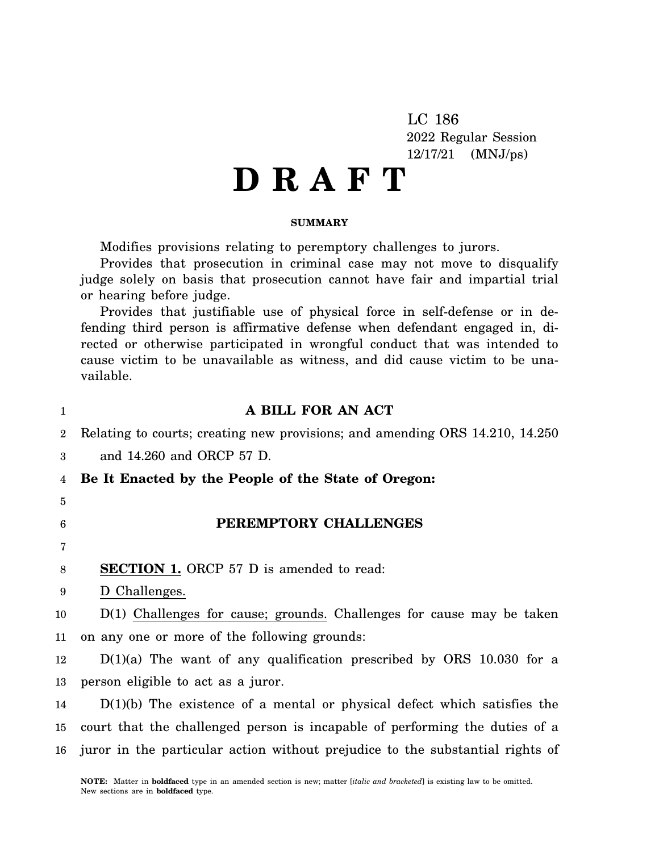LC 186 2022 Regular Session 12/17/21 (MNJ/ps)

# **D R A F T**

### **SUMMARY**

Modifies provisions relating to peremptory challenges to jurors.

Provides that prosecution in criminal case may not move to disqualify judge solely on basis that prosecution cannot have fair and impartial trial or hearing before judge.

Provides that justifiable use of physical force in self-defense or in defending third person is affirmative defense when defendant engaged in, directed or otherwise participated in wrongful conduct that was intended to cause victim to be unavailable as witness, and did cause victim to be unavailable.

| 1              | A BILL FOR AN ACT                                                                                                                              |
|----------------|------------------------------------------------------------------------------------------------------------------------------------------------|
| $\overline{2}$ | Relating to courts; creating new provisions; and amending ORS 14.210, 14.250                                                                   |
| 3              | and 14.260 and ORCP 57 D.                                                                                                                      |
| 4              | Be It Enacted by the People of the State of Oregon:                                                                                            |
| 5              |                                                                                                                                                |
| 6              | PEREMPTORY CHALLENGES                                                                                                                          |
| 7              |                                                                                                                                                |
| 8              | <b>SECTION 1.</b> ORCP 57 D is amended to read:                                                                                                |
| 9              | D Challenges.                                                                                                                                  |
| 10             | $D(1)$ Challenges for cause; grounds. Challenges for cause may be taken                                                                        |
| 11             | on any one or more of the following grounds:                                                                                                   |
| 12             | $D(1)(a)$ The want of any qualification prescribed by ORS 10.030 for a                                                                         |
| 13             | person eligible to act as a juror.                                                                                                             |
| 14             | $D(1)(b)$ The existence of a mental or physical defect which satisfies the                                                                     |
| 15             | court that the challenged person is incapable of performing the duties of a                                                                    |
|                | 16 juror in the particular action without prejudice to the substantial rights of                                                               |
|                | <b>NOTE:</b> Matter in <b>boldfaced</b> type in an amended section is new; matter <i>[italic and bracketed]</i> is existing law to be omitted. |

New sections are in **boldfaced** type.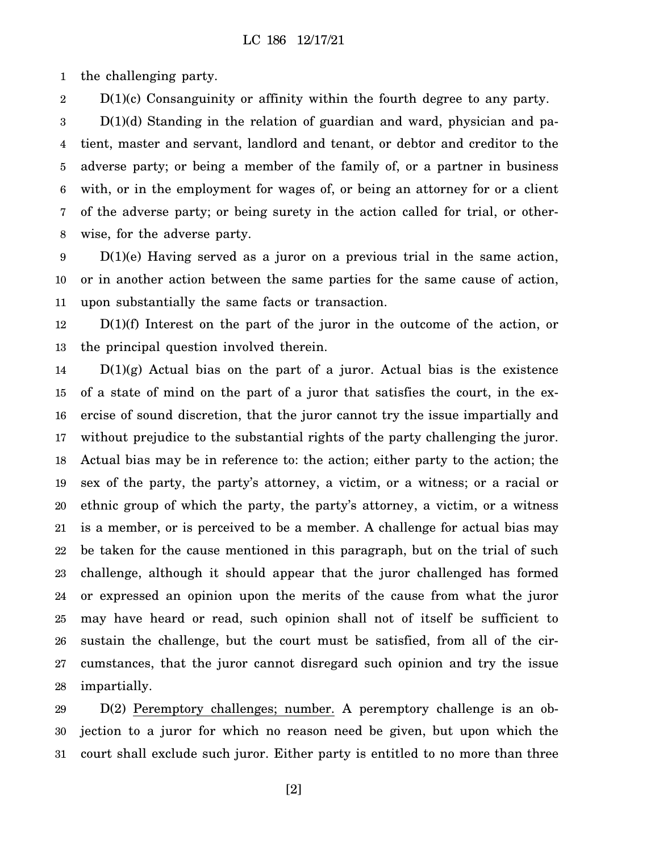1 the challenging party.

2  $D(1)(c)$  Consanguinity or affinity within the fourth degree to any party.

3 4 5 6 7 8  $D(1)(d)$  Standing in the relation of guardian and ward, physician and patient, master and servant, landlord and tenant, or debtor and creditor to the adverse party; or being a member of the family of, or a partner in business with, or in the employment for wages of, or being an attorney for or a client of the adverse party; or being surety in the action called for trial, or otherwise, for the adverse party.

9 10 11  $D(1)(e)$  Having served as a juror on a previous trial in the same action, or in another action between the same parties for the same cause of action, upon substantially the same facts or transaction.

12 13 D(1)(f) Interest on the part of the juror in the outcome of the action, or the principal question involved therein.

14 15 16 17 18 19 20 21 22 23 24 25 26 27 28  $D(1)(g)$  Actual bias on the part of a juror. Actual bias is the existence of a state of mind on the part of a juror that satisfies the court, in the exercise of sound discretion, that the juror cannot try the issue impartially and without prejudice to the substantial rights of the party challenging the juror. Actual bias may be in reference to: the action; either party to the action; the sex of the party, the party's attorney, a victim, or a witness; or a racial or ethnic group of which the party, the party's attorney, a victim, or a witness is a member, or is perceived to be a member. A challenge for actual bias may be taken for the cause mentioned in this paragraph, but on the trial of such challenge, although it should appear that the juror challenged has formed or expressed an opinion upon the merits of the cause from what the juror may have heard or read, such opinion shall not of itself be sufficient to sustain the challenge, but the court must be satisfied, from all of the circumstances, that the juror cannot disregard such opinion and try the issue impartially.

29 30 31 D(2) Peremptory challenges; number. A peremptory challenge is an objection to a juror for which no reason need be given, but upon which the court shall exclude such juror. Either party is entitled to no more than three

[2]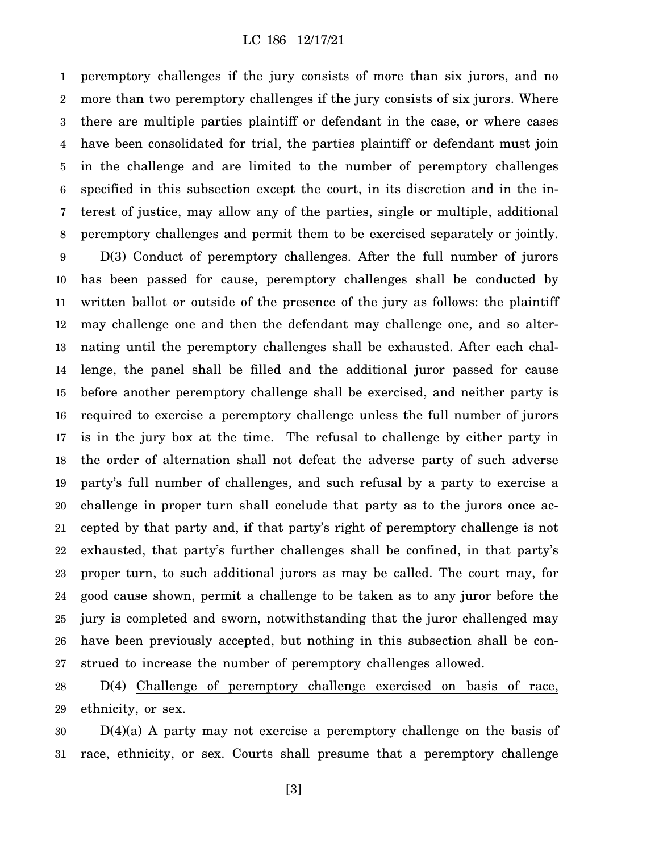# LC 186 12/17/21

1 2 3 4 5 6 7 8 9 10 11 12 13 14 15 16 17 18 19 20 21 22 23 24 25 26 27 peremptory challenges if the jury consists of more than six jurors, and no more than two peremptory challenges if the jury consists of six jurors. Where there are multiple parties plaintiff or defendant in the case, or where cases have been consolidated for trial, the parties plaintiff or defendant must join in the challenge and are limited to the number of peremptory challenges specified in this subsection except the court, in its discretion and in the interest of justice, may allow any of the parties, single or multiple, additional peremptory challenges and permit them to be exercised separately or jointly. D(3) Conduct of peremptory challenges. After the full number of jurors has been passed for cause, peremptory challenges shall be conducted by written ballot or outside of the presence of the jury as follows: the plaintiff may challenge one and then the defendant may challenge one, and so alternating until the peremptory challenges shall be exhausted. After each challenge, the panel shall be filled and the additional juror passed for cause before another peremptory challenge shall be exercised, and neither party is required to exercise a peremptory challenge unless the full number of jurors is in the jury box at the time. The refusal to challenge by either party in the order of alternation shall not defeat the adverse party of such adverse party's full number of challenges, and such refusal by a party to exercise a challenge in proper turn shall conclude that party as to the jurors once accepted by that party and, if that party's right of peremptory challenge is not exhausted, that party's further challenges shall be confined, in that party's proper turn, to such additional jurors as may be called. The court may, for good cause shown, permit a challenge to be taken as to any juror before the jury is completed and sworn, notwithstanding that the juror challenged may have been previously accepted, but nothing in this subsection shall be construed to increase the number of peremptory challenges allowed.

28 29 D(4) Challenge of peremptory challenge exercised on basis of race, ethnicity, or sex.

30 31  $D(4)(a)$  A party may not exercise a peremptory challenge on the basis of race, ethnicity, or sex. Courts shall presume that a peremptory challenge

[3]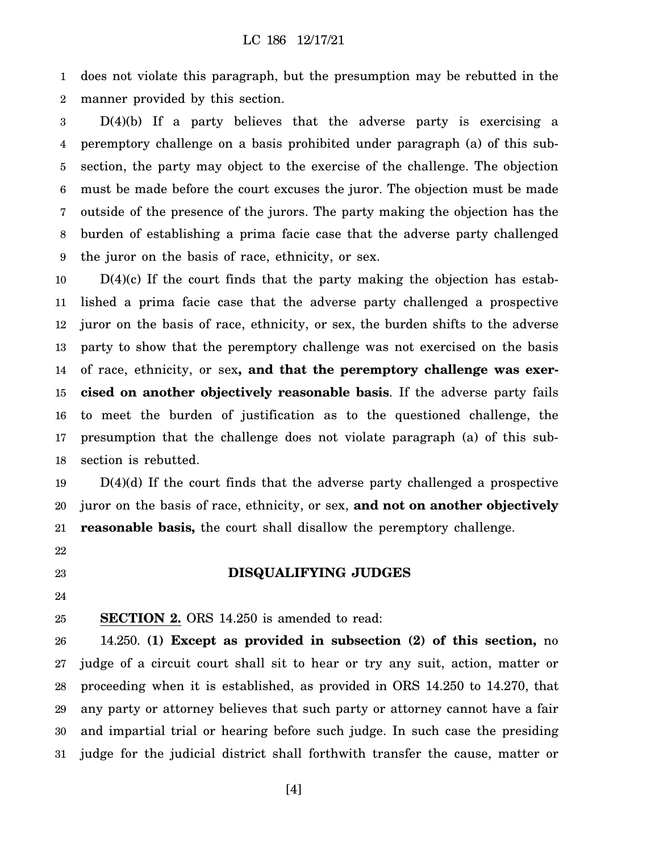1 2 does not violate this paragraph, but the presumption may be rebutted in the manner provided by this section.

3 4 5 6 7 8 9 D(4)(b) If a party believes that the adverse party is exercising a peremptory challenge on a basis prohibited under paragraph (a) of this subsection, the party may object to the exercise of the challenge. The objection must be made before the court excuses the juror. The objection must be made outside of the presence of the jurors. The party making the objection has the burden of establishing a prima facie case that the adverse party challenged the juror on the basis of race, ethnicity, or sex.

10 11 12 13 14 15 16 17 18  $D(4)(c)$  If the court finds that the party making the objection has established a prima facie case that the adverse party challenged a prospective juror on the basis of race, ethnicity, or sex, the burden shifts to the adverse party to show that the peremptory challenge was not exercised on the basis of race, ethnicity, or sex**, and that the peremptory challenge was exercised on another objectively reasonable basis**. If the adverse party fails to meet the burden of justification as to the questioned challenge, the presumption that the challenge does not violate paragraph (a) of this subsection is rebutted.

19 20 21 D(4)(d) If the court finds that the adverse party challenged a prospective juror on the basis of race, ethnicity, or sex, **and not on another objectively reasonable basis,** the court shall disallow the peremptory challenge.

**DISQUALIFYING JUDGES**

22

23

# 24

25 **SECTION 2.** ORS 14.250 is amended to read:

26 27 28 29 30 31 14.250. **(1) Except as provided in subsection (2) of this section,** no judge of a circuit court shall sit to hear or try any suit, action, matter or proceeding when it is established, as provided in ORS 14.250 to 14.270, that any party or attorney believes that such party or attorney cannot have a fair and impartial trial or hearing before such judge. In such case the presiding judge for the judicial district shall forthwith transfer the cause, matter or

[4]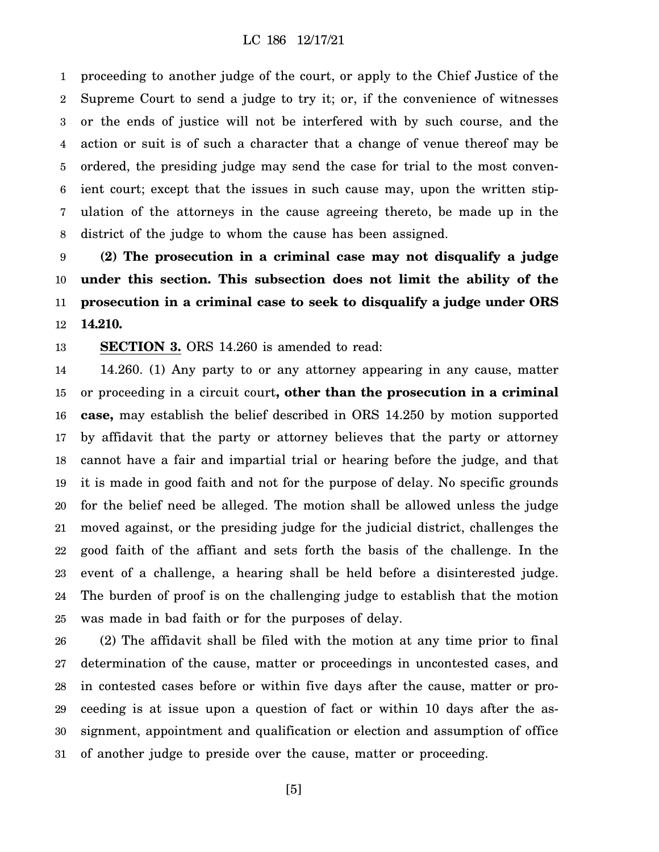1 2 3 4 5 6 7 8 proceeding to another judge of the court, or apply to the Chief Justice of the Supreme Court to send a judge to try it; or, if the convenience of witnesses or the ends of justice will not be interfered with by such course, and the action or suit is of such a character that a change of venue thereof may be ordered, the presiding judge may send the case for trial to the most convenient court; except that the issues in such cause may, upon the written stipulation of the attorneys in the cause agreeing thereto, be made up in the district of the judge to whom the cause has been assigned.

9 10 11 12 **(2) The prosecution in a criminal case may not disqualify a judge under this section. This subsection does not limit the ability of the prosecution in a criminal case to seek to disqualify a judge under ORS 14.210.**

13 **SECTION 3.** ORS 14.260 is amended to read:

14 15 16 17 18 19 20 21 22 23 24 25 14.260. (1) Any party to or any attorney appearing in any cause, matter or proceeding in a circuit court**, other than the prosecution in a criminal case,** may establish the belief described in ORS 14.250 by motion supported by affidavit that the party or attorney believes that the party or attorney cannot have a fair and impartial trial or hearing before the judge, and that it is made in good faith and not for the purpose of delay. No specific grounds for the belief need be alleged. The motion shall be allowed unless the judge moved against, or the presiding judge for the judicial district, challenges the good faith of the affiant and sets forth the basis of the challenge. In the event of a challenge, a hearing shall be held before a disinterested judge. The burden of proof is on the challenging judge to establish that the motion was made in bad faith or for the purposes of delay.

26 27 28 29 30 31 (2) The affidavit shall be filed with the motion at any time prior to final determination of the cause, matter or proceedings in uncontested cases, and in contested cases before or within five days after the cause, matter or proceeding is at issue upon a question of fact or within 10 days after the assignment, appointment and qualification or election and assumption of office of another judge to preside over the cause, matter or proceeding.

[5]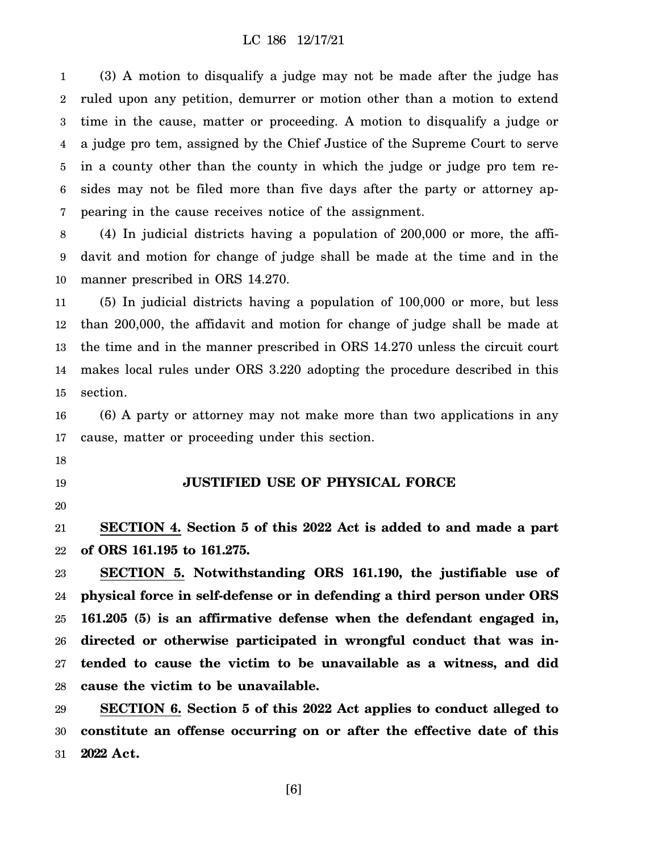# LC 186 12/17/21

1 2 3 4 5 6 7 (3) A motion to disqualify a judge may not be made after the judge has ruled upon any petition, demurrer or motion other than a motion to extend time in the cause, matter or proceeding. A motion to disqualify a judge or a judge pro tem, assigned by the Chief Justice of the Supreme Court to serve in a county other than the county in which the judge or judge pro tem resides may not be filed more than five days after the party or attorney appearing in the cause receives notice of the assignment.

8 9 10 (4) In judicial districts having a population of 200,000 or more, the affidavit and motion for change of judge shall be made at the time and in the manner prescribed in ORS 14.270.

11 12 13 14 15 (5) In judicial districts having a population of 100,000 or more, but less than 200,000, the affidavit and motion for change of judge shall be made at the time and in the manner prescribed in ORS 14.270 unless the circuit court makes local rules under ORS 3.220 adopting the procedure described in this section.

16 17 (6) A party or attorney may not make more than two applications in any cause, matter or proceeding under this section.

- 18
- 19

# **JUSTIFIED USE OF PHYSICAL FORCE**

20

21 22 **SECTION 4. Section 5 of this 2022 Act is added to and made a part of ORS 161.195 to 161.275.**

23 24 25 26 27 28 **SECTION 5. Notwithstanding ORS 161.190, the justifiable use of physical force in self-defense or in defending a third person under ORS 161.205 (5) is an affirmative defense when the defendant engaged in, directed or otherwise participated in wrongful conduct that was intended to cause the victim to be unavailable as a witness, and did cause the victim to be unavailable.**

29 30 31 **SECTION 6. Section 5 of this 2022 Act applies to conduct alleged to constitute an offense occurring on or after the effective date of this 2022 Act.**

[6]